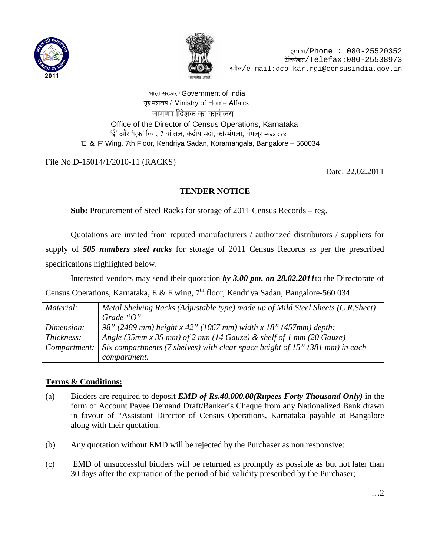



भारत सरकार / Government of India गृह मंत्रालय / Ministry of Home Affairs जागणाा दिशक का कार्यालय Office of the Director of Census Operations, Karnataka 'ई' और 'एफ' विंग, 7 वां तल, केद्रीय सदा, कोरमंगला, बेंगलुर -५६० ०३४ 'E' & 'F' Wing, 7th Floor, Kendriya Sadan, Koramangala, Bangalore – 560034

## File No.D-15014/1/2010-11 (RACKS)

Date: 22.02.2011

## **TENDER NOTICE**

**Sub:** Procurement of Steel Racks for storage of 2011 Census Records – reg.

Quotations are invited from reputed manufacturers / authorized distributors / suppliers for supply of *505 numbers steel racks* for storage of 2011 Census Records as per the prescribed specifications highlighted below.

Interested vendors may send their quotation *by 3.00 pm. on 28.02.2011*to the Directorate of Census Operations, Karnataka, E & F wing,  $7<sup>th</sup>$  floor, Kendriya Sadan, Bangalore-560 034.

| Material:    | Metal Shelving Racks (Adjustable type) made up of Mild Steel Sheets (C.R.Sheet) |
|--------------|---------------------------------------------------------------------------------|
|              | Grade " $O$ "                                                                   |
| Dimension:   | 98" (2489 mm) height x 42" (1067 mm) width x 18" (457 mm) depth:                |
| Thickness:   | Angle (35mm x 35 mm) of 2 mm (14 Gauze) & shelf of 1 mm (20 Gauze)              |
| Compartment: | Six compartments (7 shelves) with clear space height of 15" (381 mm) in each    |
|              | compartment.                                                                    |

## **Terms & Conditions:**

- (a) Bidders are required to deposit *EMD of Rs.40,000.00(Rupees Forty Thousand Only)* in the form of Account Payee Demand Draft/Banker's Cheque from any Nationalized Bank drawn in favour of "Assistant Director of Census Operations, Karnataka payable at Bangalore along with their quotation.
- (b) Any quotation without EMD will be rejected by the Purchaser as non responsive:
- (c) EMD of unsuccessful bidders will be returned as promptly as possible as but not later than 30 days after the expiration of the period of bid validity prescribed by the Purchaser;